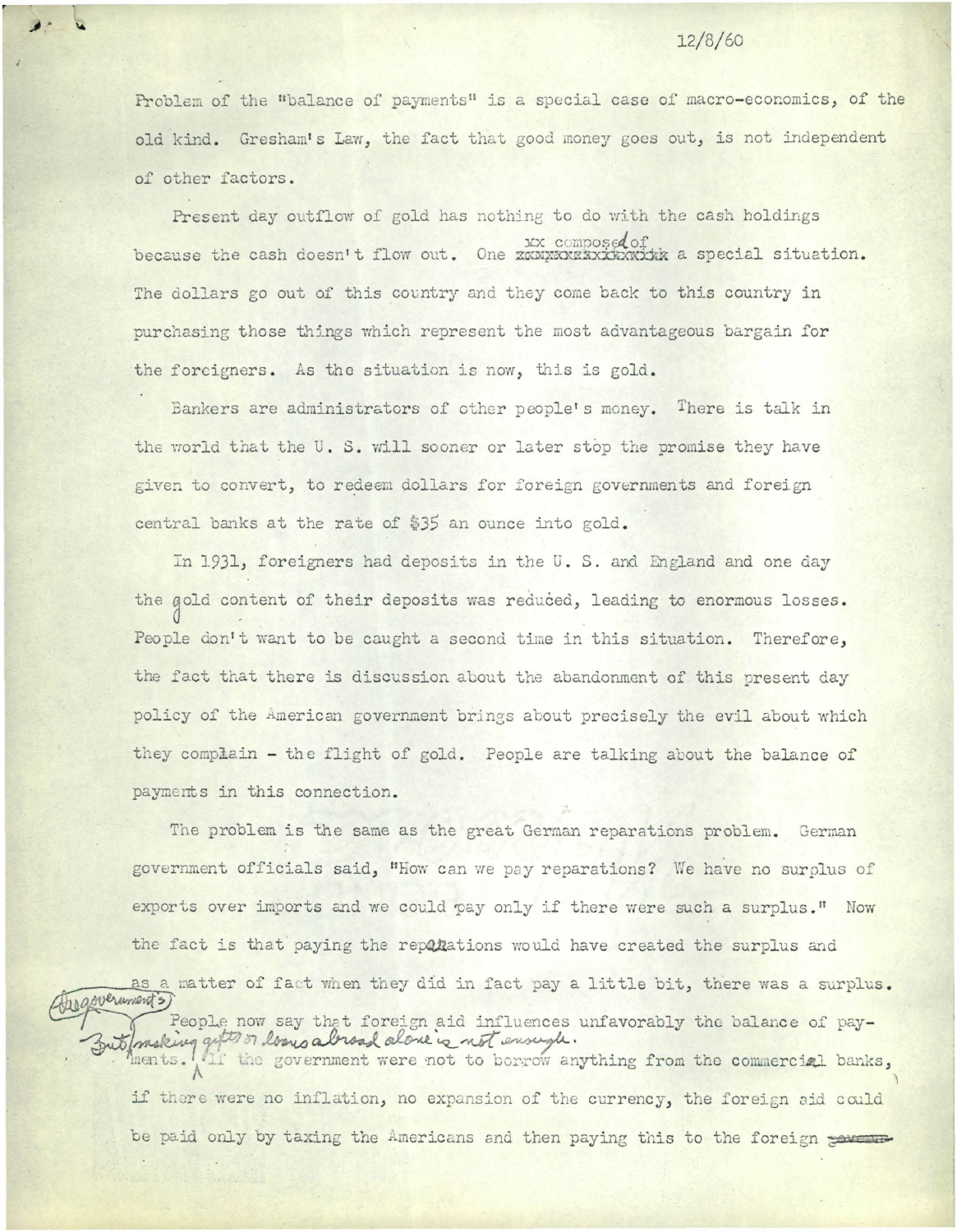## 12/8/60

Problem of the "balance of payments" is a special case of macro-economics, of the old kind. Gresham's Law, the fact that good money goes out, is not independent of other factors .

Present day outflow of gold has nothing to do with the cash holdings because the cash doesn't flow out. One xxx composed of because the cash doesn't flow out. One xxxxxxxxxxxxxxxxxx a special situation. The dollars go out of this country and they come back to this country in purchasing those things which represent the most advantageous bargain for the foreigners. As the situation is now, this is gold.

Bankers are administrators of other people's money. There is talk in the world that the U. S. will sooner or later stop the promise they have given to convert, to redeem dollars for foreign governments and foreign central banks at the rate of \$35 an ounce into gold.

In 1931, foreigners had deposits in the U. S. and England and one day the gold content of their deposits was reduced, leading to enormous losses. People don't want to be caught a second time in this situation. Therefore, the fact that there is discussion about the abandonment of this present day policy of the American government brings about precisely the evil about which they complain - the flight of gold. People are talking about the balance of payments in this connection.

The problem is the same as the great German reparations problem. German government officials said, "How can we pay reparations? We have no surplus of exports over imports and we could pay only if there were such a surplus." Now the fact is that paying the reparations would have created the surplus and

as a matter of fact when they did in fact pay a little bit, there was a surplus.<br>People now say that foreign aid influences unfavorably the balance of pay-<br>Butlomsking quite or long alread alone is not ensugh. ments. It the government were not to borrow anything from the commercial banks, if there were no inflation, no expansion of the currency, the foreign aid could

be paid only by taxing the Americans and then paying this to the foreign porture